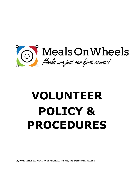

# **VOLUNTEER POLICY & PROCEDURES**

V:\HOME DELIVERED MEALS OPERATIONS\V.I.P\Policy and procedures 2022.docx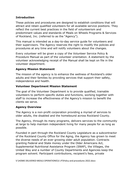#### **Introduction**

These policies and procedures are designed to establish conditions that will attract and retain qualified volunteers for all available service positions. They reflect the current best practices in the field of volunteerism and predominant values and standards of Meals on Wheels Programs & Services of Rockland, Inc. (referred to as the "Agency").

This manual is intended as a day-to-day service guide for volunteers and their supervisors. The Agency reserves the right to modify the policies and procedures at any time and will notify volunteers about the changes.

Every volunteer will be given a copy of the Volunteer Service Policy & Procedure Manual as part of the volunteer orientation. A statement by the volunteer acknowledging receipt of the Manual shall be kept on file in the volunteer department.

#### **Agency Mission Statement**

The mission of the agency is to enhance the wellness of Rockland's older adults and their families by providing services that support their safety, independence and health.

#### **Volunteer Department Mission Statement**

The goal of the Volunteer Department is to provide qualified, trainable volunteers to perform specific duties and functions, working together with staff to increase the effectiveness of the Agency's mission to benefit the clients we serve.

#### **Agency Overview**

The Agency is a non-profit corporation providing a myriad of services to older adults, the disabled and the homebound across Rockland County.

The Agency, through its many programs, delivers services to the community at large to help maintain independent living for many people for as long as possible.

Founded in part through the Rockland County Legislature as a subcontractor of the Rockland County Office for the Aging, the Agency has grown to meet the diverse needs of an ever growing older adult population. Contracts granting Federal and State money under the Older Americans Act, Supplemental Nutritional Assistance Program (SNAP), the Villages, the United Way and a number of County Departments and Agencies keep the program solvent. Participant contributions, recipient's fees, private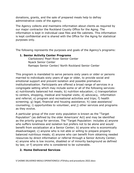donations, grants, and the sale of prepared meals help to defray administrative costs of the agency.

The Agency collects and maintains information about clients as required by our major contractor the Rockland County Office for the Aging. The information is kept in individual case files and file cabinets. This information is kept confidential and is shared with the Office for the Aging for statistical purposes only.

The following represents the purposes and goals of the Agency's programs:

# **1. Senior Activity Center Programs**

 Clarkstown/ Pearl River Senior Center Nyack Senior Center Ramapo Senior Center/ North Rockland Senior Center

This program is mandated to serve persons sixty years or older or persons married to individuals sixty years of age or older, to provide social and emotional support and prevent isolation and possible premature institutionalization. Participants are offered a broad range of services in a congregate setting which may include some or all of the following services: a) nutritionally balanced hot meals; b) nutrition education; c) transportation to centers, shopping, medical and hospital visits; d) advocacy, information and referral; e) program and recreational activities and trips; f) health screening; g) legal, financial and housing assistance; h) case assistance/ counseling; i) opportunities to volunteer, and j) other services and programs as they evolve.

A particular group of the over sixty population is known as the "Target Population" (as defined by the older Americans' Act) and may be identified as the priority group for services. The "Target Population: includes a) anyone who suffers loneliness and isolation but prefers not to be alone and would benefit from socialization at a Senior Center; b) anyone who is economically disadvantaged; c) anyone who is not able or willing to prepare properly balanced nutritious meals; d) anyone who can benefit from obtaining needed resources by direct information or referral through a Senior Activity Center; e) anyone who is low income, disabled or of minority background as defined by law; or f) anyone who is considered to be vulnerable.

# **2. Home Delivered Services**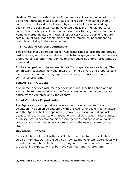Meals on Wheels provides peace of mind for caregivers and older adults by delivering nutritious meals to any Rockland resident who cannot shop or cook for themselves due to illness, physical disability or advanced age. In addition to the daily meal, caring volunteers deliver a friendly, personal connection, a safety check and an important link to the greater community. Home delivered meals, along with all of our services, are part of a greater continuum of care that enable older adults to remain as independent as possible and living in their own homes.

# **3. Rockland Central Commissary**

This professionally operated kitchen was established to prepare and provide cost effective, nutritionally balanced meals to congregate and home delivery programs, and to offer meal service to other agencies and/ or programs, as requested.

A fully equipped commissary enables staff to prepare meals each day. The commissary packages individual meals for home delivery and prepares bulk meals for distribution at congregate center sites, schools and to other contracted programs.

# **VOLUNTEER POLICIES**

A volunteer's service with the Agency is not for a specified period of time and can be terminated at any time for any reason, with or without cause or notice by the volunteer or by the Agency.

# **Equal Volunteer Opportunity**

The Agency strives to provide a safe and secure environment for all volunteers. No person volunteering with the Agency or seeking to volunteer with the Agency shall be appointed, removed, or discriminated against because of race, creed, color, national origin, religion, age, marital status, disability, sexual orientation, citizenship, genetic predisposition or carrier status or any other characteristic protected by the federal, state, or local law.

# **Orientation Process**

Each volunteer will meet with the Volunteer Coordinator for a volunteer service interview. During the service interview the Volunteer Coordinator will provide the potential volunteer with an Agency overview in order to match the skills and expectations of both the volunteer and the program.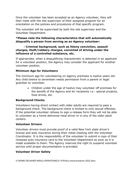Once the volunteer has been accepted as an Agency volunteer, they will then meet with the site supervisor of their assigned program for an orientation on the policies and procedures of that specific program.

The volunteer will be supervised by both the site supervisor and the Volunteer Department.

#### **\*Please note the following characteristics that will automatically disqualify a person from serving as an Agency volunteer:**

#### **- Criminal background, such as felony conviction, assault charges, theft/robbery charges, convicted of driving under the influence of a controlled substance, etc.**

If appropriate, when a disqualifying characteristic is detected in an applicant for a volunteer position, the Agency may consider the applicant for another volunteer position.

# **Minimum Age for Volunteers**

The minimum age for volunteering on Agency premises is twelve years old. Any child twelve to seventeen needs permission from a parent or legal guardian to volunteer.

> Children under the age of twelve may volunteer off premises for the benefit of the Agency and its' recipients i.e.: special projects, food drives, etc.

# **Background Checks**

Volunteers having direct contact with older adults are required to pass a background check. The background check is limited to only sexual offenses. If the potential volunteer refuses to sign a release form they will not be able to volunteer as a home delivered meal driver or in any of the older adult centers.

# **Volunteer Drivers**

Volunteer drivers must provide proof of a valid New York state driver's license and auto insurance during their initial meeting with the Volunteer Coordinator. It is the responsibility of the volunteer to submit a copy of their renewed auto insurance card to the Volunteer Department as soon as it is made available to them. The Agency reserves the right to suspend volunteer service until proper documentation is provided.

# **Volunteer Driver Safety**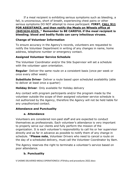If a meal recipient is exhibiting serious symptoms such as bleeding, a fall, is unconscious, short of breath, experiencing chest pains or other serious symptoms DO NOT attempt to move participant. **FIRST, CALL 911 FOR ASSISTANCE, and then notify the Meals on Wheels office at (845)624-6325.** \* **Remember to BE CAREFUL if the meal recipient is bleeding; blood and bodily fluids can carry infectious viruses.** 

# **Change of Volunteer Information**

To ensure accuracy in the Agency's records, volunteers are requested to notify the Volunteer Department in writing of any changes in name, home address, telephone number or emergency contact.

# **Assigned Volunteer Service Schedule**

The Volunteer Coordinator and/or the Site Supervisor will set a schedule with the volunteer upon orientation.

**Regular**- Deliver the same route on a consistent basis (once per week or once every other week)

**Substitute Driver**- Deliver a route based upon scheduled availability (able to deliver at least once a quarter)

#### **Holiday Driver**- Only available for Holiday delivery

Any contact with program participants and/or the program made by the volunteer outside the scope of their assigned volunteer service schedule is not authorized by the Agency, therefore the Agency will not be held liable for any unauthorized contact.

# **Attendance and Punctuality**

# **a. Attendance**

Volunteers are considered non-paid staff and are expected to conduct themselves as professionals. Each volunteer's attendance is very important to properly serve our clients and fully perform the mission of the organization. It is each volunteer's responsibility to call his or her supervisor directly and as far in advance as possible to notify them of any change in schedule. \***Please note**, Volunteer Drivers who need to cancel a route on the day of a scheduled delivery, must call the Volunteer Coordinator by 8am.

The Agency reserves the right to terminate a volunteer's service based on poor attendance.

# **b. Punctuality**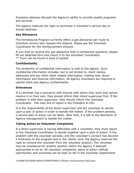Excessive lateness disrupts the Agency's ability to provide quality programs and services.

The Agency reserves the right to terminate a volunteer's service due to excess lateness.

#### **Gas Allowance**

The Homebound Program currently offers a gas allowance per route to Volunteer drivers who request this stipend. Please see the Volunteer Coordinator for the reimbursement amount.

If you wish to receive this gas allowance that is reimbursed quarterly, please fill out attached form and return it to the Volunteer Coordinator. \*\* Form can be found in back of packet

# **Confidentiality**

The protection of confidential information is vital to the agency. Such confidential information includes, but is not limited to, client names, addresses and any other client related information, mailing lists, donor information and financial information. All agency volunteers are required to uphold client and Agency confidentiality.

#### **Grievances**

If a volunteer has a grievance with anyone with whom they work and cannot resolve it on their own, they should inform their direct supervisor first. If the problem is with their supervisor, they should inform the Volunteer Coordinator. The next line of report is the President & CEO.

It is the responsibility of the direct supervisor and the volunteer to decide upon a plan of action in order to handle the matter. If the problem persists, a second plan of action can be taken. After that, it is left to the discretion of Agency management to handle the matter.

# **Taking Action on Volunteer Complaints**

If a direct supervisor is having difficulties with a volunteer, they must report to the Volunteer Coordinator to decide together upon a plan of action. If the problem with the volunteer persists, and the volunteer's conduct has become a hindrance to the program and or the clients' care, the Agency reserves the right to remove the volunteer from the volunteer position. The volunteer may be considered for another position within the Agency if deemed appropriate to do so. All volunteer complaints, plans of action (official reprimands) and outcomes will be kept on file in the Volunteer Department.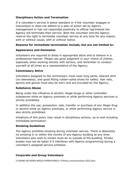#### **Disciplinary Action and Termination**

If a volunteer's service is below standard or if the volunteer engages in misconduct or does not adhere to a plan of action set by Agency management or has not responded positively to official reprimands the Agency will terminate their service. Both the volunteer and the Agency reserve the right to terminate volunteer service at any time for any reason, with or without cause, with or without notice.

# **Reasons for immediate termination include, but are not limited to:**

# **Appearance and Demeanor**

Volunteers are required to dress in appropriate attire and to behave in a professional manner. Please use good judgment in your choice of clothes, especially when working directly with seniors, and remember to conduct yourself at all times as a representative of the Agency.

#### **Commissary Attire**

Volunteers assigned to the commissary must wear long pants, sleeved shirt (no sleeveless), and good fitting rubber-soled shoes for safety. Hair nets, aprons and gloves must also be worn and are provided by the Agency.

#### **Substance Abuse**

Being under the influence of alcohol, illegal drugs or other controlled substances while on Agency premises or while performing Agency services is strictly prohibited.

In addition the use, possession, sale, transfer or purchase of any illegal drug or alcohol while on Agency premises, or while performing Agency service is also strictly prohibited.

Violations of this policy may result in disciplinary actions, up to and including immediate termination.

#### **Smoking Guidelines**

The Agency prohibits smoking during volunteer service. There is absolutely no smoking in or within the vicinity of any Agency building at any time. Volunteers who wish to smoke must do so outside of the building. Smoke breaks may not be taken if it interferes with Agency programming during a volunteer's assigned service schedule.

# **Corporate and Group Volunteers**

V:\HOME DELIVERED MEALS OPERATIONS\V.I.P\Policy and procedures 2022.docx